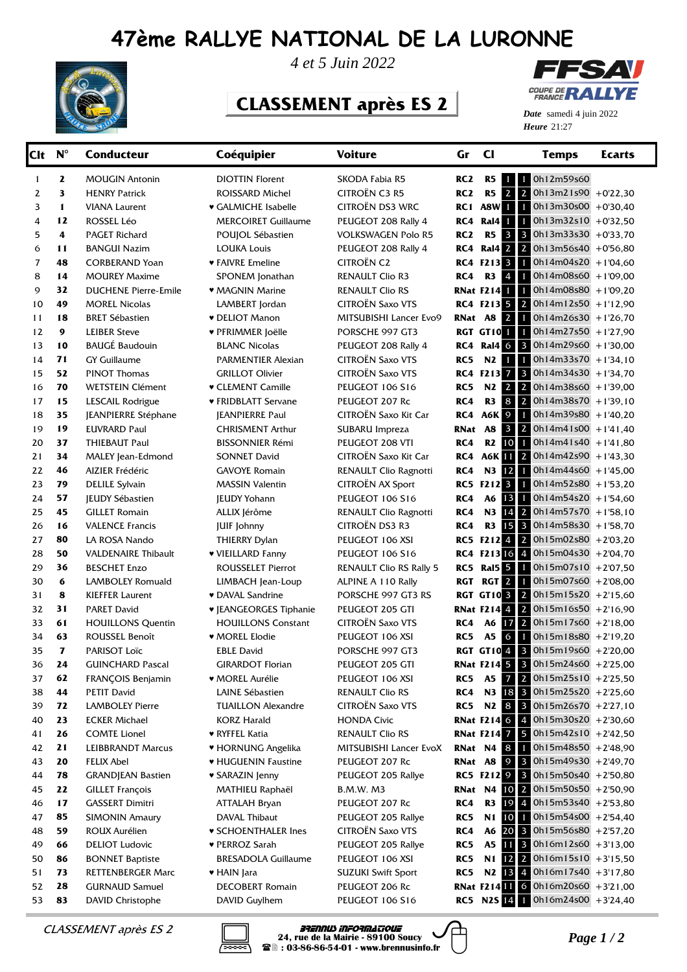## **47ème RALLYE NATIONAL DE LA LURONNE**



*4 et 5 Juin 2022*

## **CLASSEMENT après ES 2**



**Heure** 21:27 *Date* samedi 4 juin 2022

| $Clt N^{\circ}$ |                         | <b>Conducteur</b>           | Coéquipier                    | <b>Voiture</b>                 | Gr              | <b>CI</b>               | <b>Temps</b>                               | Ecarts |
|-----------------|-------------------------|-----------------------------|-------------------------------|--------------------------------|-----------------|-------------------------|--------------------------------------------|--------|
| 1               | $\mathbf{z}$            | <b>MOUGIN Antonin</b>       | <b>DIOTTIN Florent</b>        | SKODA Fabia R5                 | RC <sub>2</sub> | <b>R5</b> 1             | 1 0h12m59s60                               |        |
| 2               | 3                       | <b>HENRY Patrick</b>        | <b>ROISSARD Michel</b>        | CITROËN C3 R5                  | RC <sub>2</sub> | 2 <br>R5                | $\overline{2}$<br>$0h13m21s90$ + 0'22,30   |        |
| 3               | $\mathbf{1}$            | <b>VIANA Laurent</b>        | <b>v</b> GALMICHE Isabelle    | CITROËN DS3 WRC                |                 | RC1 A8W                 | $1$ 0h13m30s00 +0'30,40                    |        |
| 4               | 12                      | ROSSEL Léo                  | <b>MERCOIRET Guillaume</b>    | PEUGEOT 208 Rally 4            | RC4             | Ral4                    | $\mathbf{1}$<br>$0h13m32s10 + 0'32,50$     |        |
| 5               | 4                       | <b>PAGET Richard</b>        | POUJOL Sébastien              | <b>VOLKSWAGEN Polo R5</b>      | RC <sub>2</sub> | R5 3                    | $\mathbf{3}$<br>$0h13m33s30 + 0'33,70$     |        |
| 6               | 11                      | <b>BANGUI Nazim</b>         | <b>LOUKA Louis</b>            | PEUGEOT 208 Rally 4            | RC4             |                         | Ral4 2 2 0h13m56s40 +0'56,80               |        |
| 7               | 48                      | <b>CORBERAND Yoan</b>       | ♥ FAIVRE Emeline              | <b>CITROËN C2</b>              |                 | RC4 F213 3              | 0h14m04s20 +1'04,60                        |        |
| 8               | 14                      | <b>MOUREY Maxime</b>        | SPONEM Jonathan               | <b>RENAULT Clio R3</b>         | RC4             | R3 4                    | $1$ 0h14m08s60 +1'09,00                    |        |
| 9               | 32                      | <b>DUCHENE Pierre-Emile</b> | • MAGNIN Marine               | <b>RENAULT Clio RS</b>         |                 | <b>RNat F214 1</b>      | $1$ 0h14m08s80 +1'09,20                    |        |
| 10              | 49                      | <b>MOREL Nicolas</b>        | LAMBERT Jordan                | <b>CITROËN Saxo VTS</b>        |                 |                         | <b>RC4 F213 5 2 0h14m12s50 +1'12,90</b>    |        |
| 11              | 18                      | <b>BRET Sébastien</b>       | <b>v</b> DELIOT Manon         | MITSUBISHI Lancer Evo9         |                 | <b>RNat A8 2</b>        | $1$ 0h14m26s30 +1'26,70                    |        |
| 12              | $\boldsymbol{9}$        | <b>LEIBER Steve</b>         | ♥ PFRIMMER Joëlle             | PORSCHE 997 GT3                |                 | RGT GT10 <sup>1</sup>   | $1$ 0h14m27s50 +1'27,90                    |        |
| 13              | 10                      | <b>BAUGÉ Baudouin</b>       | <b>BLANC Nicolas</b>          | PEUGEOT 208 Rally 4            | RC4             | Ral4 6 3                | $0h14m29s60 + 1'30,00$                     |        |
| 14              | 71                      | <b>GY Guillaume</b>         | PARMENTIER Alexian            | <b>CITROËN Saxo VTS</b>        | RC5             | $N2$ 1                  | $\mathbf{1}$<br>$0h14m33s70 + 1'34,10$     |        |
| 15              | 52                      | <b>PINOT Thomas</b>         | <b>GRILLOT Olivier</b>        | <b>CITROËN Saxo VTS</b>        |                 | RC4 F213 7 3            | $0h14m34s30 + 1'34,70$                     |        |
| 16              | 70                      | <b>WETSTEIN Clément</b>     | <b>v CLEMENT Camille</b>      | PEUGEOT 106 S16                | RC5             | N2 2 2                  | $0h14m38s60 + 1'39,00$                     |        |
| 17              | 15                      | LESCAIL Rodrigue            | <b>* FRIDBLATT Servane</b>    | PEUGEOT 207 Rc                 | RC4             |                         | R3 8 2 0h14m38s70 +1'39,10                 |        |
| 18              | 35                      | <b>JEANPIERRE Stéphane</b>  | <b>JEANPIERRE Paul</b>        | CITROËN Saxo Kit Car           | RC4             | <b>A6K 9</b>            | $\blacksquare$<br>$0h14m39s80 + 140,20$    |        |
| 19              | 19                      | <b>EUVRARD Paul</b>         | <b>CHRISMENT Arthur</b>       | SUBARU Impreza                 | RNat            | $3 \mid 2$<br><b>A8</b> | $0h14m41s00 + 1'41,40$                     |        |
| 20              | 37                      | THIEBAUT Paul               | <b>BISSONNIER Rémi</b>        | PEUGEOT 208 VTI                | RC4             | R <sub>2</sub> 10       | $1$ 0h14m41s40 +1'41,80                    |        |
| 21              | 34                      | MALEY Jean-Edmond           | <b>SONNET David</b>           | CITROËN Saxo Kit Car           | RC4             |                         | A6K 11 2 $0h14m42s90 + 1'43,30$            |        |
| 22              | 46                      | AIZIER Frédéric             | <b>GAVOYE Romain</b>          | <b>RENAULT Clio Ragnotti</b>   | RC4             | N3 12                   | $1$ 0h14m44s60 +1'45,00                    |        |
| 23              | 79                      | <b>DELILE Sylvain</b>       | <b>MASSIN Valentin</b>        | CITROËN AX Sport               |                 |                         | RC5 F212 3 1 0h14m52s80 +1'53,20           |        |
| 24              | 57                      | <b>JEUDY Sébastien</b>      | <b>JEUDY Yohann</b>           | PEUGEOT 106 S16                | RC4             | A6 13                   | $1$ 0h14m54s20 +1'54,60                    |        |
| 25              | 45                      | <b>GILLET Romain</b>        | ALLIX Jérôme                  | RENAULT Clio Ragnotti          | RC4             | N3 14                   | 2 $0h14m57s70 + 158,10$                    |        |
| 26              | 16                      | <b>VALENCE Francis</b>      | <b>JUIF Johnny</b>            | CITROËN DS3 R3                 | RC4             |                         | R3 15 3 0h14m58s30 +1'58,70                |        |
| 27              | 80                      | LA ROSA Nando               | <b>THIERRY Dylan</b>          | PEUGEOT 106 XSI                |                 |                         | RC5 F212 4 2 $Oh15m02s80 + 2'03,20$        |        |
| 28              | 50                      | <b>VALDENAIRE Thibault</b>  | ♥ VIEILLARD Fanny             | PEUGEOT 106 S16                |                 |                         | RC4 F213 16 4 0h15m04s30 +2'04,70          |        |
| 29              | 36                      | <b>BESCHET Enzo</b>         | <b>ROUSSELET Pierrot</b>      | <b>RENAULT Clio RS Rally 5</b> | RC5             | Ral5 5                  | $1$ 0h15m07s10 +2'07,50                    |        |
| 30              | 6                       | LAMBOLEY Romuald            | LIMBACH Jean-Loup             | ALPINE A 110 Rally             | <b>RGT</b>      | $RGT$ 2                 | 0h15m07s60 +2'08,00                        |        |
| 31              | 8                       | <b>KIEFFER Laurent</b>      | • DAVAL Sandrine              | PORSCHE 997 GT3 RS             |                 |                         | <b>RGT GT10 3 2 Oh15m15s20 +2'15,60</b>    |        |
| 32              | 31                      | <b>PARET David</b>          | <b>v</b> JEANGEORGES Tiphanie | PEUGEOT 205 GTI                |                 |                         | <b>RNat F214 4</b> 2 0h15m16s50 +2'16,90   |        |
| 33              | 61                      | <b>HOUILLONS Quentin</b>    | <b>HOUILLONS Constant</b>     | <b>CITROËN Saxo VTS</b>        | RC4             | A6 <b>17</b>            | 2 $0h15m17s60 + 2'18,00$                   |        |
| 34              | 63                      | ROUSSEL Benoît              | <b>WOREL Elodie</b>           | PEUGEOT 106 XSI                | RC5             | A5 6                    | $\mathbf{1}$<br>$0h15m18s80 + 2'19.20$     |        |
| 35              | $\overline{\mathbf{z}}$ | PARISOT Loïc                | <b>EBLE David</b>             | PORSCHE 997 GT3                |                 | <b>RGT GT104</b>        | 3 0h15m19s60 +2'20,00                      |        |
| 36              | 24                      | <b>GUINCHARD Pascal</b>     | <b>GIRARDOT Florian</b>       | PEUGEOT 205 GTI                |                 |                         | <b>RNat F214 5 3 0h15m24s60</b> +2'25,00   |        |
| 37              | 62                      | FRANÇOIS Benjamin           | ♥ MOREL Aurélie               | PEUGEOT 106 XSI                | RC5             |                         | A5 7 2 0h15m25s10 +2'25,50                 |        |
| 38              | 44                      | PETIT David                 | LAINE Sébastien               | RENAULT Clio RS                | RC4             |                         | N3 $18$ 3 0h15m25s20 +2'25,60              |        |
| 39              | 72                      | <b>LAMBOLEY Pierre</b>      | <b>TUAILLON Alexandre</b>     | CITROËN Saxo VTS               | RC5             |                         | N2 8 3 0h15m26s70 +2'27,10                 |        |
| 40              | 23                      | <b>ECKER Michael</b>        | KORZ Harald                   | <b>HONDA Civic</b>             |                 |                         | <b>RNat F214 6</b> 4 0h15m30s20 +2'30,60   |        |
| 41              | 26                      | <b>COMTE Lionel</b>         | ♥ RYFFEL Katia                | RENAULT Clio RS                |                 |                         | <b>RNat F214 7 5 0h15m42s10</b> +2'42,50   |        |
| 42              | 21                      | <b>LEIBBRANDT Marcus</b>    | ♥ HORNUNG Angelika            | MITSUBISHI Lancer EvoX         |                 | <b>RNat N4 8</b>        | 0h15m48s50 +2'48,90                        |        |
| 43              | 20                      | <b>FELIX Abel</b>           | ♥ HUGUENIN Faustine           | PEUGEOT 207 Rc                 | RNat A8         |                         | 9 3 0h15m49s30 +2'49,70                    |        |
| 44              | 78                      | <b>GRANDJEAN Bastien</b>    | ♥ SARAZIN Jenny               | PEUGEOT 205 Rallye             |                 |                         | RC5 F212 9 3 Oh15m50s40 +2'50,80           |        |
| 45              | 22                      | <b>GILLET François</b>      | MATHIEU Raphaël               | <b>B.M.W. M3</b>               |                 |                         | <b>RNat N4 10 2</b> $Oh15m50s50 + 2'50,90$ |        |
| 46              | 17                      | <b>GASSERT Dimitri</b>      | <b>ATTALAH Bryan</b>          | PEUGEOT 207 Rc                 | RC4             |                         | R3 19 4 0h15m53s40 +2'53,80                |        |
| 47              | 85                      | <b>SIMONIN Amaury</b>       | DAVAL Thibaut                 | PEUGEOT 205 Rallye             | RC5             | <b>N1 10</b>            | 0h15m54s00 +2'54,40                        |        |
| 48              | 59                      | ROUX Aurélien               | <b>v SCHOENTHALER Ines</b>    | CITROËN Saxo VTS               | RC4             |                         | A6 20 3 $Oh15m56s80 + 257,20$              |        |
| 49              | 66                      | <b>DELIOT Ludovic</b>       | ♥ PERROZ Sarah                | PEUGEOT 205 Rallye             | RC5             |                         | A5 11 3 $0h16m12s60 + 3'13,00$             |        |
| 50              | 86                      | <b>BONNET Baptiste</b>      | <b>BRESADOLA Guillaume</b>    | PEUGEOT 106 XSI                | RC5             |                         | N1 $12$ 2 0h16m15s10 +3'15,50              |        |
| 51              | 73                      | <b>RETTENBERGER Marc</b>    | ♥ HAIN Jara                   | <b>SUZUKI Swift Sport</b>      | RC5             |                         | N2 13 4 0h16m17s40 +3'17,80                |        |
| 52              | 28                      | <b>GURNAUD Samuel</b>       | <b>DECOBERT Romain</b>        | PEUGEOT 206 Rc                 |                 |                         | <b>RNat F21411 6</b> 0h16m20s60 +3'21,00   |        |
| 53              | 83                      | DAVID Christophe            | DAVID Guylhem                 | PEUGEOT 106 S16                |                 |                         | RC5 N2S $14$ 1 Oh16m24s00 +3'24,40         |        |